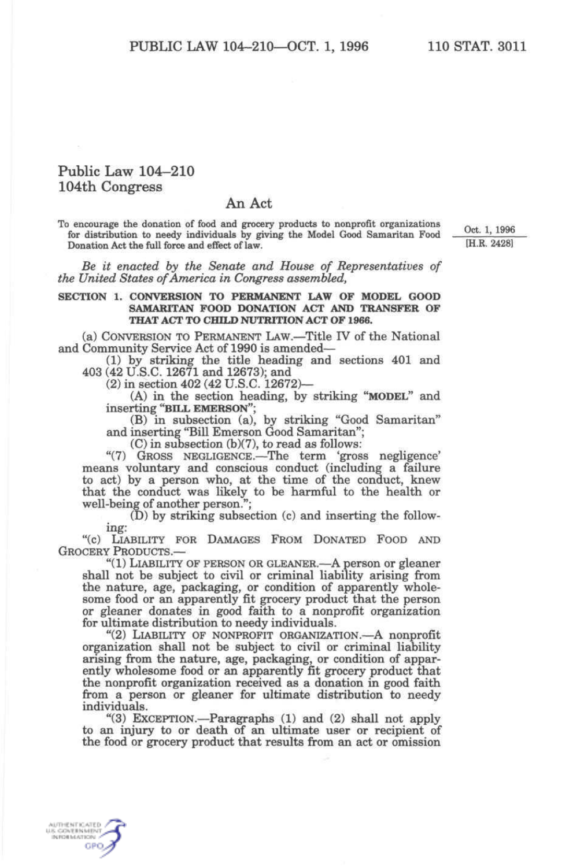## Public Law 104-210 104th Congress

## An Act

To encourage the donation of food and grocery products to nonprofit organizations  $\alpha$ ,  $\alpha$ ,  $\beta$ for distribution to needy individuals by giving the Model Good Samaritan Food — <sup>OCC</sup> 1, 1990<br>Donation Act the full force and effect of law Donation Act the full force and effect of law.

*Be it enacted by the Senate and House of Representatives of the United States of America in Congress assembled,* 

## **SECTION 1. CONVERSION TO PERMANENT LAW OF MODEL GOOD SAMARITAN FOOD DONATION ACT AND TRANSFER OF THAT ACT TO CHILD NUTRITION ACT OF 1966.**

(a) CONVERSION TO PERMANENT LAW.—Title IV of the National

and Community Service Act of 1990 is amended— (1) by striking the title heading and sections 401 and 403 (42 U.S.C. 12671 and 12673); and

(2) in section 402 (42 U.S.C. 12672)—

(A) in the section heading, by striking "MODEL" and inserting "BILL EMERSON";

(B) in subsection (a), by striking "Good Samaritan" and inserting "Bill Emerson Good Samaritan";

(C) in subsection  $(b)(7)$ , to read as follows:

"(7) GROSS NEGLIGENCE.—The term 'gross negligence' means voluntary and conscious conduct (including a failure to act) by a person who, at the time of the conduct, knew that the conduct was likely to be harmful to the health or well-being of another person.";

(D) by striking subsection (c) and inserting the follow- ing:

"(c) LIABILITY FOR DAMAGES FROM DONATED FOOD AND GROCERY PRODUCTS.—<br>"(1) LIABILITY OF PERSON OR GLEANER.—A person or gleaner

shall not be subject to civil or criminal liability arising from<br>the nature, age, packaging, or condition of apparently wholethe nature, age, packaging, or condition of apparently whole-<br>some food or an apparently fit grocery product that the person<br>or gleaner donates in good faith to a nonprofit organization<br>for ultimate distribution to needy i

organization shall not be subject to civil or criminal liability arising from the nature, age, packaging, or condition of apparently wholesome food or an apparently fit grocery product that the nonprofit organization received as a donation in good faith from a person or gleaner for ultimate distribution to needy individuals.

"(3) EXCEPTION.—Paragraphs  $(1)$  and  $(2)$  shall not apply to an injury to or death of an ultimate user or recipient of the food or grocery product that results from an act or omission